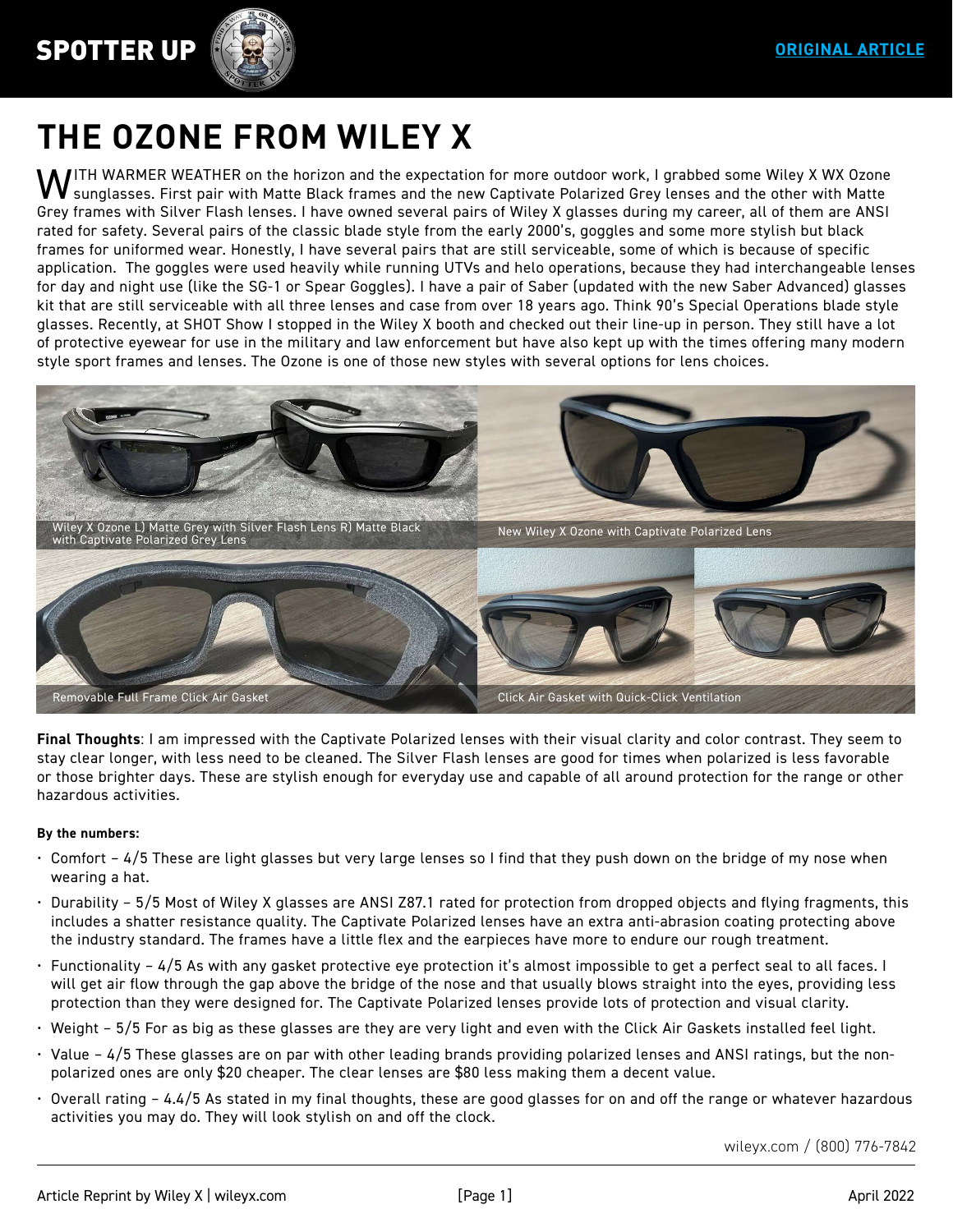



# **THE OZONE FROM WILEY X**

WITH WARMER WEATHER on the horizon and the expectation for more outdoor work, I grabbed some Wiley X WX Ozone<br>We sunglasses. First pair with Matte Black frames and the new Captivate Polarized Grey lenses and the other with Grey frames with Silver Flash lenses. I have owned several pairs of Wiley X glasses during my career, all of them are ANSI rated for safety. Several pairs of the classic blade style from the early 2000's, goggles and some more stylish but black frames for uniformed wear. Honestly, I have several pairs that are still serviceable, some of which is because of specific application. The goggles were used heavily while running UTVs and helo operations, because they had interchangeable lenses for day and night use (like the SG-1 or Spear Goggles). I have a pair of Saber (updated with the new Saber Advanced) glasses kit that are still serviceable with all three lenses and case from over 18 years ago. Think 90's Special Operations blade style glasses. Recently, at SHOT Show I stopped in the Wiley X booth and checked out their line-up in person. They still have a lot of protective eyewear for use in the military and law enforcement but have also kept up with the times offering many modern style sport frames and lenses. The Ozone is one of those new styles with several options for lens choices.



**Final Thoughts**: I am impressed with the Captivate Polarized lenses with their visual clarity and color contrast. They seem to stay clear longer, with less need to be cleaned. The Silver Flash lenses are good for times when polarized is less favorable or those brighter days. These are stylish enough for everyday use and capable of all around protection for the range or other hazardous activities.

#### **By the numbers:**

- Comfort 4/5 These are light glasses but very large lenses so I find that they push down on the bridge of my nose when wearing a hat.
- Durability 5/5 Most of Wiley X glasses are ANSI Z87.1 rated for protection from dropped objects and flying fragments, this includes a shatter resistance quality. The Captivate Polarized lenses have an extra anti-abrasion coating protecting above the industry standard. The frames have a little flex and the earpieces have more to endure our rough treatment.
- Functionality 4/5 As with any gasket protective eye protection it's almost impossible to get a perfect seal to all faces. I will get air flow through the gap above the bridge of the nose and that usually blows straight into the eyes, providing less protection than they were designed for. The Captivate Polarized lenses provide lots of protection and visual clarity.
- Weight 5/5 For as big as these glasses are they are very light and even with the Click Air Gaskets installed feel light.
- Value 4/5 These glasses are on par with other leading brands providing polarized lenses and ANSI ratings, but the nonpolarized ones are only \$20 cheaper. The clear lenses are \$80 less making them a decent value.
- Overall rating 4.4/5 As stated in my final thoughts, these are good glasses for on and off the range or whatever hazardous activities you may do. They will look stylish on and off the clock.

[wileyx.com / \(800\) 776-7842](http://wileyx.com)